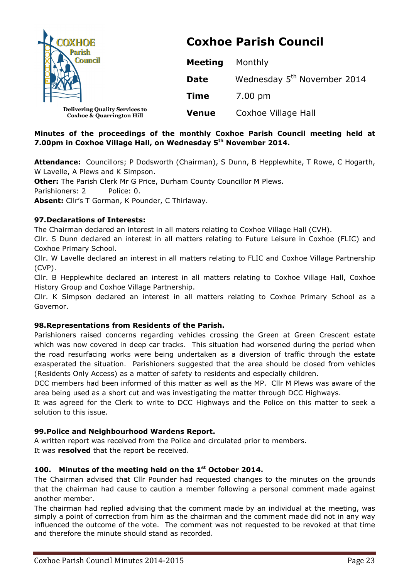| <b>COXHOE</b><br><b>Parish</b><br><b>Council</b>                              | <b>Coxhoe Parish Council</b> |                                         |
|-------------------------------------------------------------------------------|------------------------------|-----------------------------------------|
|                                                                               | <b>Meeting</b>               | Monthly                                 |
|                                                                               | <b>Date</b>                  | Wednesday 5 <sup>th</sup> November 2014 |
|                                                                               | <b>Time</b>                  | 7.00 pm                                 |
| <b>Delivering Quality Services to</b><br><b>Coxhoe &amp; Quarrington Hill</b> | <b>Venue</b>                 | Coxhoe Village Hall                     |

# **Minutes of the proceedings of the monthly Coxhoe Parish Council meeting held at 7.00pm in Coxhoe Village Hall, on Wednesday 5th November 2014.**

**Attendance:** Councillors; P Dodsworth (Chairman), S Dunn, B Hepplewhite, T Rowe, C Hogarth, W Lavelle, A Plews and K Simpson.

**Other:** The Parish Clerk Mr G Price, Durham County Councillor M Plews.

Parishioners: 2 Police: 0.

**Absent:** Cllr's T Gorman, K Pounder, C Thirlaway.

# **97.Declarations of Interests:**

The Chairman declared an interest in all maters relating to Coxhoe Village Hall (CVH).

Cllr. S Dunn declared an interest in all matters relating to Future Leisure in Coxhoe (FLIC) and Coxhoe Primary School.

Cllr. W Lavelle declared an interest in all matters relating to FLIC and Coxhoe Village Partnership (CVP).

Cllr. B Hepplewhite declared an interest in all matters relating to Coxhoe Village Hall, Coxhoe History Group and Coxhoe Village Partnership.

Cllr. K Simpson declared an interest in all matters relating to Coxhoe Primary School as a Governor.

# **98.Representations from Residents of the Parish.**

Parishioners raised concerns regarding vehicles crossing the Green at Green Crescent estate which was now covered in deep car tracks. This situation had worsened during the period when the road resurfacing works were being undertaken as a diversion of traffic through the estate exasperated the situation. Parishioners suggested that the area should be closed from vehicles (Residents Only Access) as a matter of safety to residents and especially children.

DCC members had been informed of this matter as well as the MP. Cllr M Plews was aware of the area being used as a short cut and was investigating the matter through DCC Highways.

It was agreed for the Clerk to write to DCC Highways and the Police on this matter to seek a solution to this issue.

# **99.Police and Neighbourhood Wardens Report.**

A written report was received from the Police and circulated prior to members. It was **resolved** that the report be received.

# **100. Minutes of the meeting held on the 1st October 2014.**

The Chairman advised that Cllr Pounder had requested changes to the minutes on the grounds that the chairman had cause to caution a member following a personal comment made against another member.

The chairman had replied advising that the comment made by an individual at the meeting, was simply a point of correction from him as the chairman and the comment made did not in any way influenced the outcome of the vote. The comment was not requested to be revoked at that time and therefore the minute should stand as recorded.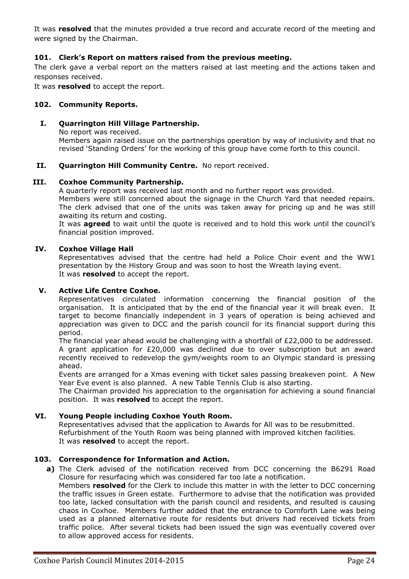It was **resolved** that the minutes provided a true record and accurate record of the meeting and were signed by the Chairman.

# **101. Clerk's Report on matters raised from the previous meeting.**

The clerk gave a verbal report on the matters raised at last meeting and the actions taken and responses received.

It was **resolved** to accept the report.

### **102. Community Reports.**

#### **I. Quarrington Hill Village Partnership.**

No report was received. Members again raised issue on the partnerships operation by way of inclusivity and that no revised 'Standing Orders' for the working of this group have come forth to this council.

### **II. Quarrington Hill Community Centre.** No report received.

#### **III. Coxhoe Community Partnership.**

A quarterly report was received last month and no further report was provided.

Members were still concerned about the signage in the Church Yard that needed repairs. The clerk advised that one of the units was taken away for pricing up and he was still awaiting its return and costing.

It was **agreed** to wait until the quote is received and to hold this work until the council's financial position improved.

### **IV. Coxhoe Village Hall**

Representatives advised that the centre had held a Police Choir event and the WW1 presentation by the History Group and was soon to host the Wreath laying event. It was **resolved** to accept the report.

### **V. Active Life Centre Coxhoe.**

Representatives circulated information concerning the financial position of the organisation. It is anticipated that by the end of the financial year it will break even. It target to become financially independent in 3 years of operation is being achieved and appreciation was given to DCC and the parish council for its financial support during this period.

The financial year ahead would be challenging with a shortfall of £22,000 to be addressed. A grant application for £20,000 was declined due to over subscription but an award recently received to redevelop the gym/weights room to an Olympic standard is pressing ahead.

Events are arranged for a Xmas evening with ticket sales passing breakeven point. A New Year Eve event is also planned. A new Table Tennis Club is also starting.

The Chairman provided his appreciation to the organisation for achieving a sound financial position. It was **resolved** to accept the report.

# **VI. Young People including Coxhoe Youth Room.**

Representatives advised that the application to Awards for All was to be resubmitted. Refurbishment of the Youth Room was being planned with improved kitchen facilities. It was **resolved** to accept the report.

# **103. Correspondence for Information and Action.**

**a)** The Clerk advised of the notification received from DCC concerning the B6291 Road Closure for resurfacing which was considered far too late a notification.

Members **resolved** for the Clerk to include this matter in with the letter to DCC concerning the traffic issues in Green estate. Furthermore to advise that the notification was provided too late, lacked consultation with the parish council and residents, and resulted is causing chaos in Coxhoe. Members further added that the entrance to Cornforth Lane was being used as a planned alternative route for residents but drivers had received tickets from traffic police. After several tickets had been issued the sign was eventually covered over to allow approved access for residents.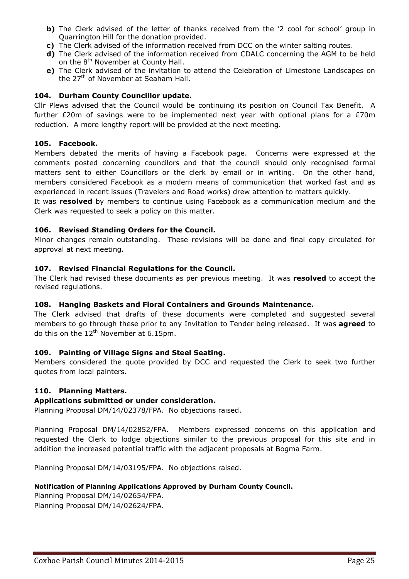- **b)** The Clerk advised of the letter of thanks received from the '2 cool for school' group in Quarrington Hill for the donation provided.
- **c)** The Clerk advised of the information received from DCC on the winter salting routes.
- **d)** The Clerk advised of the information received from CDALC concerning the AGM to be held on the 8<sup>th</sup> November at County Hall.
- **e)** The Clerk advised of the invitation to attend the Celebration of Limestone Landscapes on the 27<sup>th</sup> of November at Seaham Hall.

### **104. Durham County Councillor update.**

Cllr Plews advised that the Council would be continuing its position on Council Tax Benefit. A further  $E20m$  of savings were to be implemented next year with optional plans for a  $E70m$ reduction. A more lengthy report will be provided at the next meeting.

### **105. Facebook.**

Members debated the merits of having a Facebook page. Concerns were expressed at the comments posted concerning councilors and that the council should only recognised formal matters sent to either Councillors or the clerk by email or in writing. On the other hand, members considered Facebook as a modern means of communication that worked fast and as experienced in recent issues (Travelers and Road works) drew attention to matters quickly.

It was **resolved** by members to continue using Facebook as a communication medium and the Clerk was requested to seek a policy on this matter.

### **106. Revised Standing Orders for the Council.**

Minor changes remain outstanding. These revisions will be done and final copy circulated for approval at next meeting.

### **107. Revised Financial Regulations for the Council.**

The Clerk had revised these documents as per previous meeting. It was **resolved** to accept the revised regulations.

# **108. Hanging Baskets and Floral Containers and Grounds Maintenance.**

The Clerk advised that drafts of these documents were completed and suggested several members to go through these prior to any Invitation to Tender being released. It was **agreed** to do this on the  $12<sup>th</sup>$  November at 6.15pm.

# **109. Painting of Village Signs and Steel Seating.**

Members considered the quote provided by DCC and requested the Clerk to seek two further quotes from local painters.

# **110. Planning Matters.**

# **Applications submitted or under consideration.**

Planning Proposal DM/14/02378/FPA. No objections raised.

Planning Proposal DM/14/02852/FPA. Members expressed concerns on this application and requested the Clerk to lodge objections similar to the previous proposal for this site and in addition the increased potential traffic with the adjacent proposals at Bogma Farm.

Planning Proposal DM/14/03195/FPA. No objections raised.

#### **Notification of Planning Applications Approved by Durham County Council.**

Planning Proposal DM/14/02654/FPA. Planning Proposal DM/14/02624/FPA.